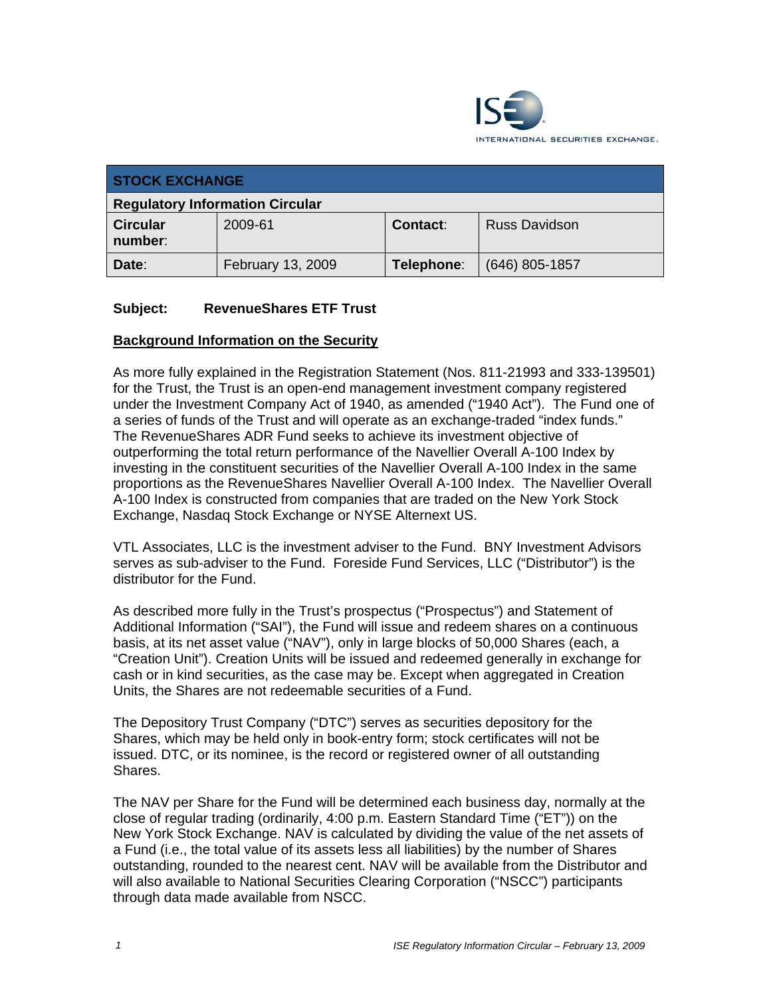

| <b>STOCK EXCHANGE</b>                  |                   |            |                      |
|----------------------------------------|-------------------|------------|----------------------|
| <b>Regulatory Information Circular</b> |                   |            |                      |
| <b>Circular</b><br>number:             | 2009-61           | Contact:   | <b>Russ Davidson</b> |
| Date:                                  | February 13, 2009 | Telephone: | $(646)$ 805-1857     |

# **Subject: RevenueShares ETF Trust**

# **Background Information on the Security**

As more fully explained in the Registration Statement (Nos. 811-21993 and 333-139501) for the Trust, the Trust is an open-end management investment company registered under the Investment Company Act of 1940, as amended ("1940 Act"). The Fund one of a series of funds of the Trust and will operate as an exchange-traded "index funds." The RevenueShares ADR Fund seeks to achieve its investment objective of outperforming the total return performance of the Navellier Overall A-100 Index by investing in the constituent securities of the Navellier Overall A-100 Index in the same proportions as the RevenueShares Navellier Overall A-100 Index. The Navellier Overall A-100 Index is constructed from companies that are traded on the New York Stock Exchange, Nasdaq Stock Exchange or NYSE Alternext US.

VTL Associates, LLC is the investment adviser to the Fund. BNY Investment Advisors serves as sub-adviser to the Fund. Foreside Fund Services, LLC ("Distributor") is the distributor for the Fund.

As described more fully in the Trust's prospectus ("Prospectus") and Statement of Additional Information ("SAI"), the Fund will issue and redeem shares on a continuous basis, at its net asset value ("NAV"), only in large blocks of 50,000 Shares (each, a "Creation Unit"). Creation Units will be issued and redeemed generally in exchange for cash or in kind securities, as the case may be. Except when aggregated in Creation Units, the Shares are not redeemable securities of a Fund.

The Depository Trust Company ("DTC") serves as securities depository for the Shares, which may be held only in book-entry form; stock certificates will not be issued. DTC, or its nominee, is the record or registered owner of all outstanding Shares.

The NAV per Share for the Fund will be determined each business day, normally at the close of regular trading (ordinarily, 4:00 p.m. Eastern Standard Time ("ET")) on the New York Stock Exchange. NAV is calculated by dividing the value of the net assets of a Fund (i.e., the total value of its assets less all liabilities) by the number of Shares outstanding, rounded to the nearest cent. NAV will be available from the Distributor and will also available to National Securities Clearing Corporation ("NSCC") participants through data made available from NSCC.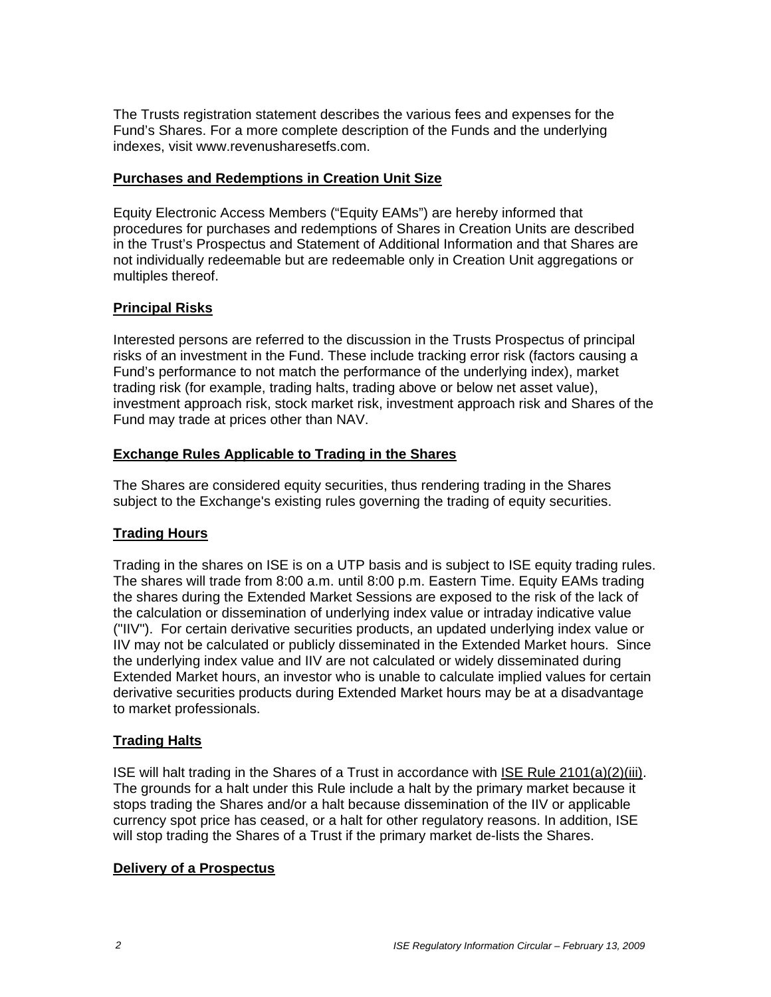The Trusts registration statement describes the various fees and expenses for the Fund's Shares. For a more complete description of the Funds and the underlying indexes, visit www.revenusharesetfs.com.

# **Purchases and Redemptions in Creation Unit Size**

Equity Electronic Access Members ("Equity EAMs") are hereby informed that procedures for purchases and redemptions of Shares in Creation Units are described in the Trust's Prospectus and Statement of Additional Information and that Shares are not individually redeemable but are redeemable only in Creation Unit aggregations or multiples thereof.

# **Principal Risks**

Interested persons are referred to the discussion in the Trusts Prospectus of principal risks of an investment in the Fund. These include tracking error risk (factors causing a Fund's performance to not match the performance of the underlying index), market trading risk (for example, trading halts, trading above or below net asset value), investment approach risk, stock market risk, investment approach risk and Shares of the Fund may trade at prices other than NAV.

# **Exchange Rules Applicable to Trading in the Shares**

The Shares are considered equity securities, thus rendering trading in the Shares subject to the Exchange's existing rules governing the trading of equity securities.

# **Trading Hours**

Trading in the shares on ISE is on a UTP basis and is subject to ISE equity trading rules. The shares will trade from 8:00 a.m. until 8:00 p.m. Eastern Time. Equity EAMs trading the shares during the Extended Market Sessions are exposed to the risk of the lack of the calculation or dissemination of underlying index value or intraday indicative value ("IIV"). For certain derivative securities products, an updated underlying index value or IIV may not be calculated or publicly disseminated in the Extended Market hours. Since the underlying index value and IIV are not calculated or widely disseminated during Extended Market hours, an investor who is unable to calculate implied values for certain derivative securities products during Extended Market hours may be at a disadvantage to market professionals.

# **Trading Halts**

ISE will halt trading in the Shares of a Trust in accordance with ISE Rule 2101(a)(2)(iii). The grounds for a halt under this Rule include a halt by the primary market because it stops trading the Shares and/or a halt because dissemination of the IIV or applicable currency spot price has ceased, or a halt for other regulatory reasons. In addition, ISE will stop trading the Shares of a Trust if the primary market de-lists the Shares.

# **Delivery of a Prospectus**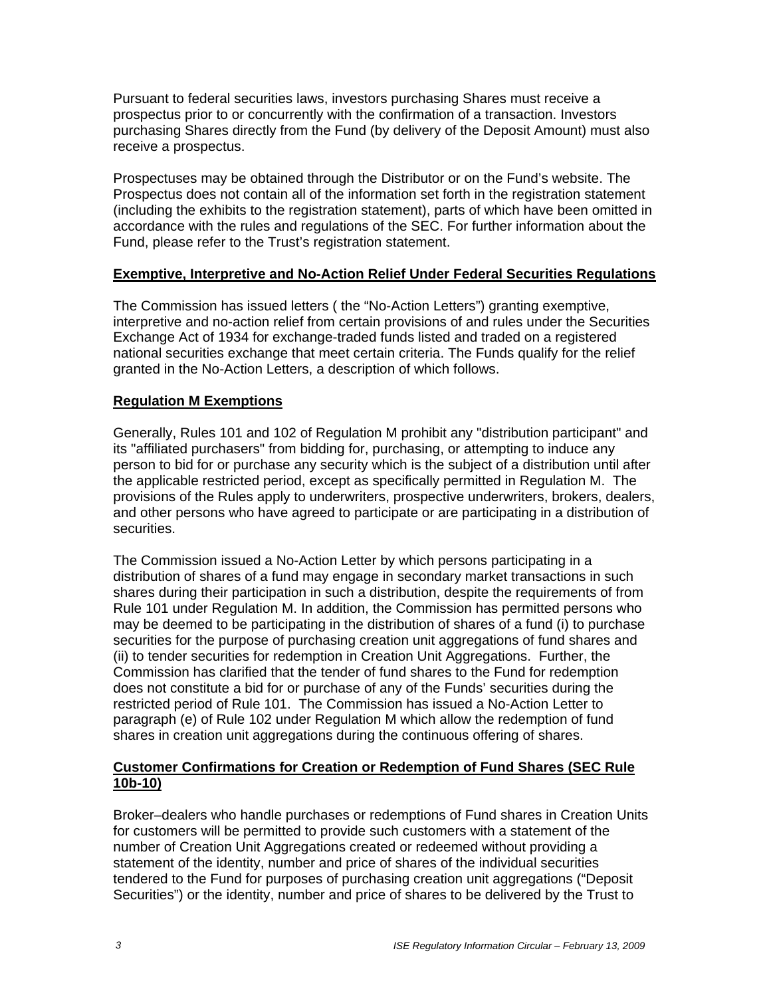Pursuant to federal securities laws, investors purchasing Shares must receive a prospectus prior to or concurrently with the confirmation of a transaction. Investors purchasing Shares directly from the Fund (by delivery of the Deposit Amount) must also receive a prospectus.

Prospectuses may be obtained through the Distributor or on the Fund's website. The Prospectus does not contain all of the information set forth in the registration statement (including the exhibits to the registration statement), parts of which have been omitted in accordance with the rules and regulations of the SEC. For further information about the Fund, please refer to the Trust's registration statement.

# **Exemptive, Interpretive and No-Action Relief Under Federal Securities Regulations**

The Commission has issued letters ( the "No-Action Letters") granting exemptive, interpretive and no-action relief from certain provisions of and rules under the Securities Exchange Act of 1934 for exchange-traded funds listed and traded on a registered national securities exchange that meet certain criteria. The Funds qualify for the relief granted in the No-Action Letters, a description of which follows.

### **Regulation M Exemptions**

Generally, Rules 101 and 102 of Regulation M prohibit any "distribution participant" and its "affiliated purchasers" from bidding for, purchasing, or attempting to induce any person to bid for or purchase any security which is the subject of a distribution until after the applicable restricted period, except as specifically permitted in Regulation M. The provisions of the Rules apply to underwriters, prospective underwriters, brokers, dealers, and other persons who have agreed to participate or are participating in a distribution of securities.

The Commission issued a No-Action Letter by which persons participating in a distribution of shares of a fund may engage in secondary market transactions in such shares during their participation in such a distribution, despite the requirements of from Rule 101 under Regulation M. In addition, the Commission has permitted persons who may be deemed to be participating in the distribution of shares of a fund (i) to purchase securities for the purpose of purchasing creation unit aggregations of fund shares and (ii) to tender securities for redemption in Creation Unit Aggregations. Further, the Commission has clarified that the tender of fund shares to the Fund for redemption does not constitute a bid for or purchase of any of the Funds' securities during the restricted period of Rule 101. The Commission has issued a No-Action Letter to paragraph (e) of Rule 102 under Regulation M which allow the redemption of fund shares in creation unit aggregations during the continuous offering of shares.

# **Customer Confirmations for Creation or Redemption of Fund Shares (SEC Rule 10b-10)**

Broker–dealers who handle purchases or redemptions of Fund shares in Creation Units for customers will be permitted to provide such customers with a statement of the number of Creation Unit Aggregations created or redeemed without providing a statement of the identity, number and price of shares of the individual securities tendered to the Fund for purposes of purchasing creation unit aggregations ("Deposit Securities") or the identity, number and price of shares to be delivered by the Trust to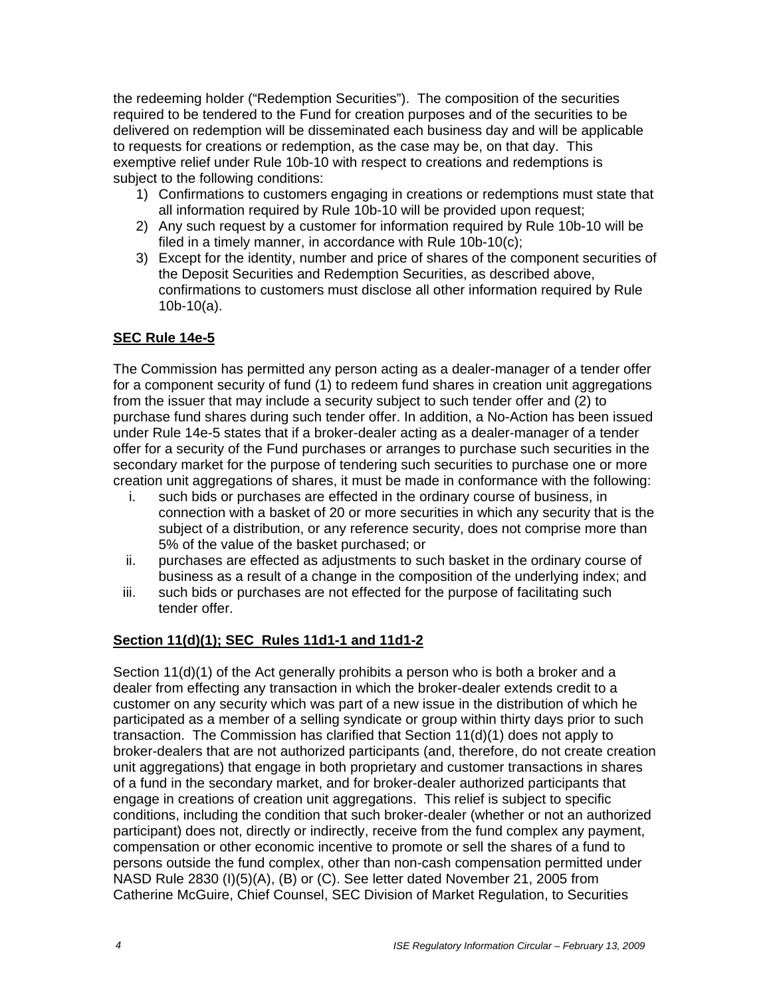the redeeming holder ("Redemption Securities"). The composition of the securities required to be tendered to the Fund for creation purposes and of the securities to be delivered on redemption will be disseminated each business day and will be applicable to requests for creations or redemption, as the case may be, on that day. This exemptive relief under Rule 10b-10 with respect to creations and redemptions is subiect to the following conditions:

- 1) Confirmations to customers engaging in creations or redemptions must state that all information required by Rule 10b-10 will be provided upon request;
- 2) Any such request by a customer for information required by Rule 10b-10 will be filed in a timely manner, in accordance with Rule 10b-10(c);
- 3) Except for the identity, number and price of shares of the component securities of the Deposit Securities and Redemption Securities, as described above, confirmations to customers must disclose all other information required by Rule 10b-10(a).

# **SEC Rule 14e-5**

The Commission has permitted any person acting as a dealer-manager of a tender offer for a component security of fund (1) to redeem fund shares in creation unit aggregations from the issuer that may include a security subject to such tender offer and (2) to purchase fund shares during such tender offer. In addition, a No-Action has been issued under Rule 14e-5 states that if a broker-dealer acting as a dealer-manager of a tender offer for a security of the Fund purchases or arranges to purchase such securities in the secondary market for the purpose of tendering such securities to purchase one or more creation unit aggregations of shares, it must be made in conformance with the following:

- i. such bids or purchases are effected in the ordinary course of business, in connection with a basket of 20 or more securities in which any security that is the subject of a distribution, or any reference security, does not comprise more than 5% of the value of the basket purchased; or
- ii. purchases are effected as adjustments to such basket in the ordinary course of business as a result of a change in the composition of the underlying index; and
- iii. such bids or purchases are not effected for the purpose of facilitating such tender offer.

# **Section 11(d)(1); SEC Rules 11d1-1 and 11d1-2**

Section 11(d)(1) of the Act generally prohibits a person who is both a broker and a dealer from effecting any transaction in which the broker-dealer extends credit to a customer on any security which was part of a new issue in the distribution of which he participated as a member of a selling syndicate or group within thirty days prior to such transaction. The Commission has clarified that Section 11(d)(1) does not apply to broker-dealers that are not authorized participants (and, therefore, do not create creation unit aggregations) that engage in both proprietary and customer transactions in shares of a fund in the secondary market, and for broker-dealer authorized participants that engage in creations of creation unit aggregations. This relief is subject to specific conditions, including the condition that such broker-dealer (whether or not an authorized participant) does not, directly or indirectly, receive from the fund complex any payment, compensation or other economic incentive to promote or sell the shares of a fund to persons outside the fund complex, other than non-cash compensation permitted under NASD Rule 2830 (I)(5)(A), (B) or (C). See letter dated November 21, 2005 from Catherine McGuire, Chief Counsel, SEC Division of Market Regulation, to Securities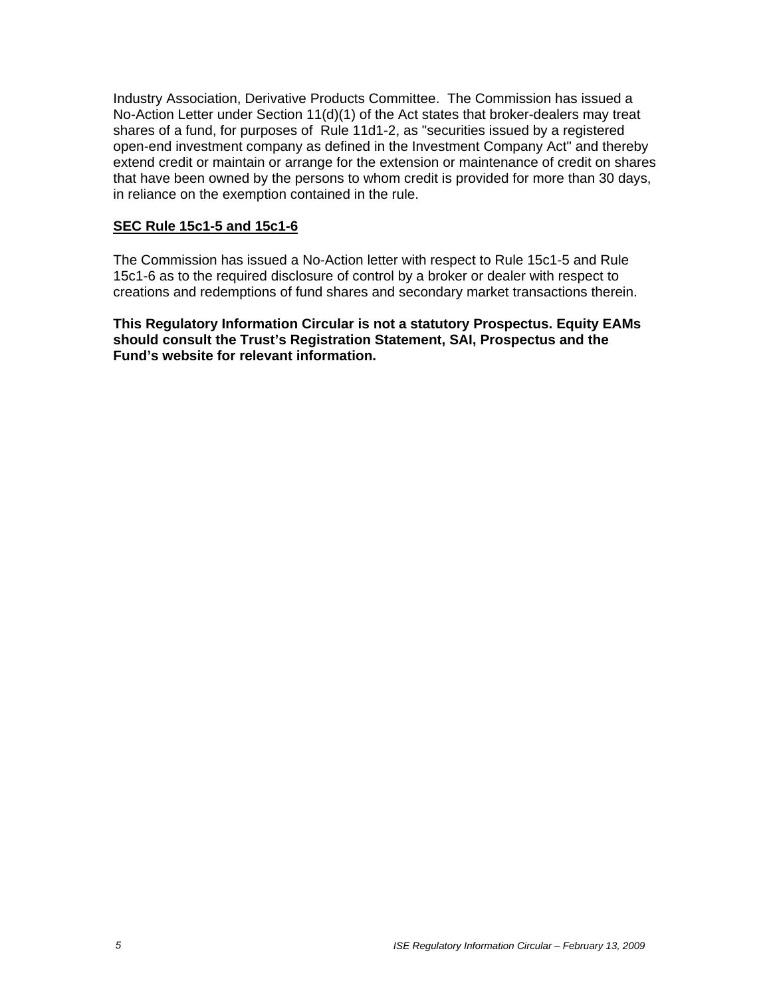Industry Association, Derivative Products Committee. The Commission has issued a No-Action Letter under Section 11(d)(1) of the Act states that broker-dealers may treat shares of a fund, for purposes of Rule 11d1-2, as "securities issued by a registered open-end investment company as defined in the Investment Company Act" and thereby extend credit or maintain or arrange for the extension or maintenance of credit on shares that have been owned by the persons to whom credit is provided for more than 30 days, in reliance on the exemption contained in the rule.

# **SEC Rule 15c1-5 and 15c1-6**

The Commission has issued a No-Action letter with respect to Rule 15c1-5 and Rule 15c1-6 as to the required disclosure of control by a broker or dealer with respect to creations and redemptions of fund shares and secondary market transactions therein.

**This Regulatory Information Circular is not a statutory Prospectus. Equity EAMs should consult the Trust's Registration Statement, SAI, Prospectus and the Fund's website for relevant information.**